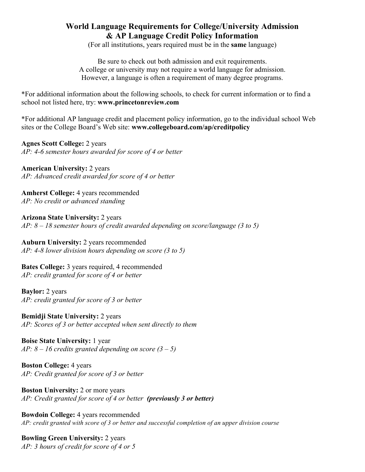# **World Language Requirements for College/University Admission & AP Language Credit Policy Information**

(For all institutions, years required must be in the **same** language)

Be sure to check out both admission and exit requirements. A college or university may not require a world language for admission. However, a language is often a requirement of many degree programs.

\*For additional information about the following schools, to check for current information or to find a school not listed here, try: **www.princetonreview.com**

\*For additional AP language credit and placement policy information, go to the individual school Web sites or the College Board's Web site: **www.collegeboard.com/ap/creditpolicy**

**Agnes Scott College:** 2 years *AP: 4-6 semester hours awarded for score of 4 or better*

**American University:** 2 years *AP: Advanced credit awarded for score of 4 or better*

**Amherst College:** 4 years recommended *AP: No credit or advanced standing*

**Arizona State University:** 2 years *AP: 8 – 18 semester hours of credit awarded depending on score/language (3 to 5)*

**Auburn University:** 2 years recommended *AP: 4-8 lower division hours depending on score (3 to 5)*

**Bates College:** 3 years required, 4 recommended *AP: credit granted for score of 4 or better*

**Baylor:** 2 years *AP: credit granted for score of 3 or better*

**Bemidji State University:** 2 years *AP: Scores of 3 or better accepted when sent directly to them*

**Boise State University:** 1 year *AP: 8 – 16 credits granted depending on score (3 – 5)*

**Boston College:** 4 years *AP: Credit granted for score of 3 or better*

**Boston University: 2 or more years** *AP: Credit granted for score of 4 or better (previously 3 or better)*

**Bowdoin College:** 4 years recommended *AP: credit granted with score of 3 or better and successful completion of an upper division course*

**Bowling Green University:** 2 years *AP: 3 hours of credit for score of 4 or 5*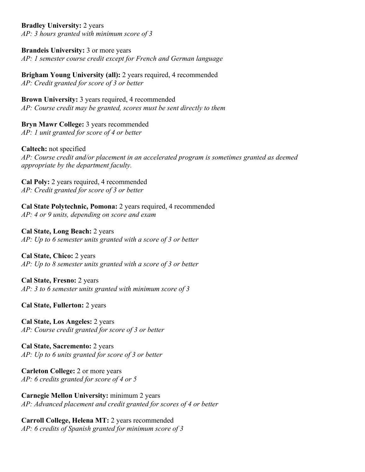**Bradley University:** 2 years *AP: 3 hours granted with minimum score of 3*

**Brandeis University: 3 or more years** *AP: 1 semester course credit except for French and German language*

**Brigham Young University (all):** 2 years required, 4 recommended *AP: Credit granted for score of 3 or better*

**Brown University:** 3 years required, 4 recommended *AP: Course credit may be granted, scores must be sent directly to them*

**Bryn Mawr College:** 3 years recommended *AP: 1 unit granted for score of 4 or better*

**Caltech:** not specified *AP: Course credit and/or placement in an accelerated program is sometimes granted as deemed appropriate by the department faculty.*

**Cal Poly:** 2 years required, 4 recommended *AP: Credit granted for score of 3 or better*

**Cal State Polytechnic, Pomona:** 2 years required, 4 recommended *AP: 4 or 9 units, depending on score and exam*

**Cal State, Long Beach:** 2 years *AP: Up to 6 semester units granted with a score of 3 or better*

**Cal State, Chico:** 2 years *AP: Up to 8 semester units granted with a score of 3 or better*

**Cal State, Fresno:** 2 years *AP: 3 to 6 semester units granted with minimum score of 3*

**Cal State, Fullerton:** 2 years

**Cal State, Los Angeles:** 2 years *AP: Course credit granted for score of 3 or better*

**Cal State, Sacremento:** 2 years *AP: Up to 6 units granted for score of 3 or better*

**Carleton College:** 2 or more years *AP: 6 credits granted for score of 4 or 5*

**Carnegie Mellon University:** minimum 2 years *AP: Advanced placement and credit granted for scores of 4 or better*

**Carroll College, Helena MT:** 2 years recommended *AP: 6 credits of Spanish granted for minimum score of 3*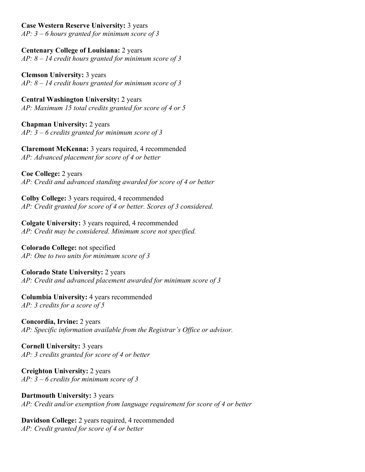# **Case Western Reserve University:** 3 years

*AP: 3 – 6 hours granted for minimum score of 3*

**Centenary College of Louisiana:** 2 years *AP: 8 – 14 credit hours granted for minimum score of 3*

**Clemson University:** 3 years *AP: 8 – 14 credit hours granted for minimum score of 3*

**Central Washington University:** 2 years *AP: Maximum 15 total credits granted for score of 4 or 5*

**Chapman University:** 2 years *AP: 3 – 6 credits granted for minimum score of 3*

**Claremont McKenna:** 3 years required, 4 recommended *AP: Advanced placement for score of 4 or better*

**Coe College:** 2 years *AP: Credit and advanced standing awarded for score of 4 or better*

**Colby College:** 3 years required, 4 recommended *AP: Credit granted for score of 4 or better. Scores of 3 considered.*

**Colgate University:** 3 years required, 4 recommended *AP: Credit may be considered. Minimum score not specified.*

**Colorado College:** not specified *AP: One to two units for minimum score of 3*

**Colorado State University:** 2 years *AP: Credit and advanced placement awarded for minimum score of 3*

**Columbia University:** 4 years recommended *AP: 3 credits for a score of 5*

**Concordia, Irvine:** 2 years *AP: Specific information available from the Registrar's Office or advisor.*

**Cornell University:** 3 years *AP: 3 credits granted for score of 4 or better*

**Creighton University:** 2 years *AP: 3 – 6 credits for minimum score of 3*

**Dartmouth University:** 3 years *AP: Credit and/or exemption from language requirement for score of 4 or better*

**Davidson College:** 2 years required, 4 recommended *AP: Credit granted for score of 4 or better*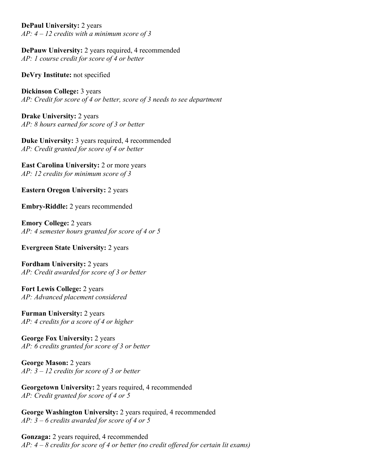**DePaul University:** 2 years *AP: 4 – 12 credits with a minimum score of 3*

**DePauw University: 2 years required, 4 recommended** *AP: 1 course credit for score of 4 or better*

**DeVry Institute:** not specified

**Dickinson College:** 3 years *AP: Credit for score of 4 or better, score of 3 needs to see department*

**Drake University:** 2 years *AP: 8 hours earned for score of 3 or better*

**Duke University:** 3 years required, 4 recommended *AP: Credit granted for score of 4 or better*

**East Carolina University: 2 or more years** *AP: 12 credits for minimum score of 3*

**Eastern Oregon University: 2 years** 

**Embry-Riddle:** 2 years recommended

**Emory College:** 2 years *AP: 4 semester hours granted for score of 4 or 5*

**Evergreen State University:** 2 years

**Fordham University:** 2 years *AP: Credit awarded for score of 3 or better*

**Fort Lewis College:** 2 years *AP: Advanced placement considered*

**Furman University:** 2 years *AP: 4 credits for a score of 4 or higher*

**George Fox University:** 2 years *AP: 6 credits granted for score of 3 or better*

**George Mason:** 2 years *AP: 3 – 12 credits for score of 3 or better*

**Georgetown University:** 2 years required, 4 recommended *AP: Credit granted for score of 4 or 5*

**George Washington University:** 2 years required, 4 recommended *AP: 3 – 6 credits awarded for score of 4 or 5*

**Gonzaga:** 2 years required, 4 recommended *AP: 4 – 8 credits for score of 4 or better (no credit offered for certain lit exams)*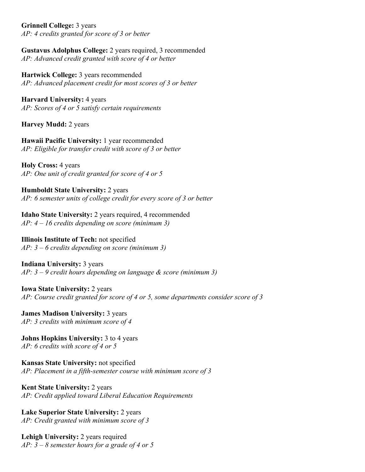**Grinnell College:** 3 years *AP: 4 credits granted for score of 3 or better*

**Gustavus Adolphus College:** 2 years required, 3 recommended *AP: Advanced credit granted with score of 4 or better*

**Hartwick College:** 3 years recommended *AP: Advanced placement credit for most scores of 3 or better*

**Harvard University:** 4 years *AP: Scores of 4 or 5 satisfy certain requirements*

**Harvey Mudd:** 2 years

**Hawaii Pacific University:** 1 year recommended *AP: Eligible for transfer credit with score of 3 or better*

**Holy Cross:** 4 years *AP: One unit of credit granted for score of 4 or 5*

**Humboldt State University:** 2 years *AP: 6 semester units of college credit for every score of 3 or better*

**Idaho State University:** 2 years required, 4 recommended *AP: 4 – 16 credits depending on score (minimum 3)*

**Illinois Institute of Tech:** not specified *AP: 3 – 6 credits depending on score (minimum 3)*

**Indiana University:** 3 years *AP: 3 – 9 credit hours depending on language & score (minimum 3)*

**Iowa State University:** 2 years *AP: Course credit granted for score of 4 or 5, some departments consider score of 3*

**James Madison University: 3 years** *AP: 3 credits with minimum score of 4*

**Johns Hopkins University:** 3 to 4 years *AP: 6 credits with score of 4 or 5*

**Kansas State University:** not specified *AP: Placement in a fifth-semester course with minimum score of 3*

**Kent State University:** 2 years *AP: Credit applied toward Liberal Education Requirements*

**Lake Superior State University:** 2 years *AP: Credit granted with minimum score of 3*

Lehigh University: 2 years required *AP: 3 – 8 semester hours for a grade of 4 or 5*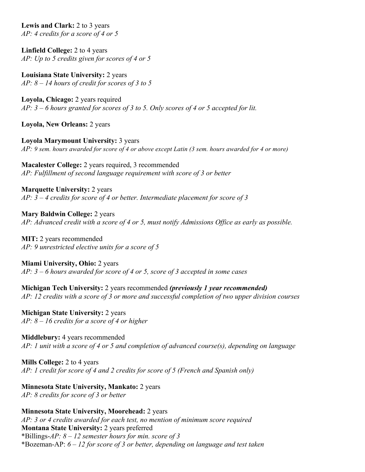**Lewis and Clark:** 2 to 3 years *AP: 4 credits for a score of 4 or 5*

**Linfield College:** 2 to 4 years *AP: Up to 5 credits given for scores of 4 or 5*

**Louisiana State University:** 2 years *AP: 8 – 14 hours of credit for scores of 3 to 5*

**Loyola, Chicago:** 2 years required *AP: 3 – 6 hours granted for scores of 3 to 5. Only scores of 4 or 5 accepted for lit.*

**Loyola, New Orleans:** 2 years

**Loyola Marymount University:** 3 years *AP: 9 sem. hours awarded for score of 4 or above except Latin (3 sem. hours awarded for 4 or more)*

**Macalester College:** 2 years required, 3 recommended *AP: Fulfillment of second language requirement with score of 3 or better*

**Marquette University: 2 years** *AP: 3 – 4 credits for score of 4 or better. Intermediate placement for score of 3*

**Mary Baldwin College:** 2 years *AP: Advanced credit with a score of 4 or 5, must notify Admissions Office as early as possible.*

**MIT:** 2 years recommended *AP: 9 unrestricted elective units for a score of 5*

**Miami University, Ohio:** 2 years *AP: 3 – 6 hours awarded for score of 4 or 5, score of 3 accepted in some cases*

**Michigan Tech University:** 2 years recommended *(previously 1 year recommended) AP: 12 credits with a score of 3 or more and successful completion of two upper division courses*

**Michigan State University:** 2 years *AP: 8 – 16 credits for a score of 4 or higher*

**Middlebury:** 4 years recommended *AP: 1 unit with a score of 4 or 5 and completion of advanced course(s), depending on language*

**Mills College:** 2 to 4 years *AP: 1 credit for score of 4 and 2 credits for score of 5 (French and Spanish only)*

**Minnesota State University, Mankato:** 2 years *AP: 8 credits for score of 3 or better*

**Minnesota State University, Moorehead:** 2 years *AP: 3 or 4 credits awarded for each test, no mention of minimum score required* **Montana State University:** 2 years preferred \*Billings-*AP: 8 – 12 semester hours for min. score of 3* \*Bozeman-AP: *6 – 12 for score of 3 or better, depending on language and test taken*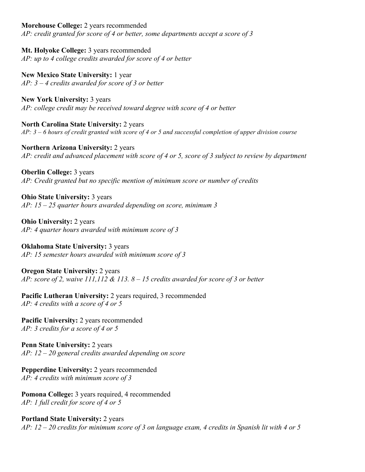**Morehouse College:** 2 years recommended

*AP: credit granted for score of 4 or better, some departments accept a score of 3*

**Mt. Holyoke College:** 3 years recommended *AP: up to 4 college credits awarded for score of 4 or better*

**New Mexico State University:** 1 year *AP: 3 – 4 credits awarded for score of 3 or better*

**New York University:** 3 years *AP: college credit may be received toward degree with score of 4 or better*

**North Carolina State University:** 2 years *AP: 3 – 6 hours of credit granted with score of 4 or 5 and successful completion of upper division course*

**Northern Arizona University:** 2 years *AP: credit and advanced placement with score of 4 or 5, score of 3 subject to review by department*

**Oberlin College: 3 years** *AP: Credit granted but no specific mention of minimum score or number of credits*

**Ohio State University:** 3 years *AP: 15 – 25 quarter hours awarded depending on score, minimum 3*

**Ohio University: 2 years** *AP: 4 quarter hours awarded with minimum score of 3*

**Oklahoma State University: 3 years** *AP: 15 semester hours awarded with minimum score of 3*

**Oregon State University: 2 years** *AP: score of 2, waive 111,112 & 113. 8 – 15 credits awarded for score of 3 or better*

**Pacific Lutheran University: 2 years required, 3 recommended** *AP: 4 credits with a score of 4 or 5*

**Pacific University: 2 years recommended** *AP: 3 credits for a score of 4 or 5*

**Penn State University: 2 years** *AP: 12 – 20 general credits awarded depending on score*

**Pepperdine University: 2 years recommended** *AP: 4 credits with minimum score of 3*

**Pomona College:** 3 years required, 4 recommended *AP: 1 full credit for score of 4 or 5*

**Portland State University:** 2 years *AP: 12 – 20 credits for minimum score of 3 on language exam, 4 credits in Spanish lit with 4 or 5*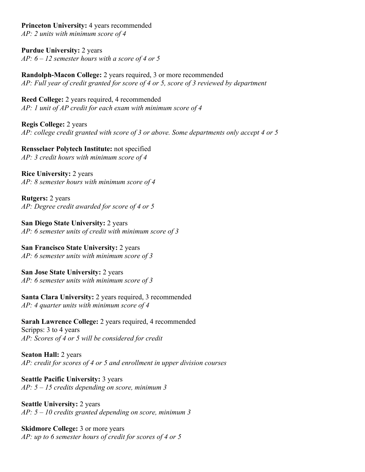**Princeton University: 4 years recommended** *AP: 2 units with minimum score of 4*

**Purdue University:** 2 years *AP: 6 – 12 semester hours with a score of 4 or 5*

**Randolph-Macon College:** 2 years required, 3 or more recommended *AP: Full year of credit granted for score of 4 or 5, score of 3 reviewed by department*

**Reed College:** 2 years required, 4 recommended *AP: 1 unit of AP credit for each exam with minimum score of 4*

**Regis College:** 2 years *AP: college credit granted with score of 3 or above. Some departments only accept 4 or 5*

**Rensselaer Polytech Institute:** not specified *AP: 3 credit hours with minimum score of 4*

**Rice University:** 2 years *AP: 8 semester hours with minimum score of 4*

**Rutgers:** 2 years *AP: Degree credit awarded for score of 4 or 5*

**San Diego State University:** 2 years *AP: 6 semester units of credit with minimum score of 3*

**San Francisco State University:** 2 years *AP: 6 semester units with minimum score of 3*

**San Jose State University:** 2 years *AP: 6 semester units with minimum score of 3*

**Santa Clara University:** 2 years required, 3 recommended *AP: 4 quarter units with minimum score of 4*

**Sarah Lawrence College:** 2 years required, 4 recommended Scripps: 3 to 4 years *AP: Scores of 4 or 5 will be considered for credit*

**Seaton Hall:** 2 years *AP: credit for scores of 4 or 5 and enrollment in upper division courses*

**Seattle Pacific University:** 3 years *AP: 5 – 15 credits depending on score, minimum 3*

**Seattle University:** 2 years *AP: 5 – 10 credits granted depending on score, minimum 3*

**Skidmore College: 3 or more years** *AP: up to 6 semester hours of credit for scores of 4 or 5*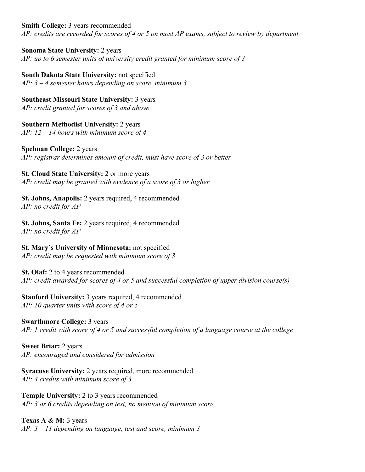#### **Smith College:** 3 years recommended

*AP: credits are recorded for scores of 4 or 5 on most AP exams, subject to review by department*

**Sonoma State University:** 2 years *AP: up to 6 semester units of university credit granted for minimum score of 3*

**South Dakota State University:** not specified *AP: 3 – 4 semester hours depending on score, minimum 3*

**Southeast Missouri State University:** 3 years *AP: credit granted for scores of 3 and above*

**Southern Methodist University:** 2 years *AP: 12 – 14 hours with minimum score of 4*

**Spelman College:** 2 years *AP: registrar determines amount of credit, must have score of 3 or better*

**St. Cloud State University:** 2 or more years *AP: credit may be granted with evidence of a score of 3 or higher*

**St. Johns, Anapolis:** 2 years required, 4 recommended *AP: no credit for AP*

**St. Johns, Santa Fe:** 2 years required, 4 recommended *AP: no credit for AP*

**St. Mary's University of Minnesota:** not specified *AP: credit may be requested with minimum score of 3*

**St. Olaf:** 2 to 4 years recommended *AP: credit awarded for scores of 4 or 5 and successful completion of upper division course(s)*

#### **Stanford University:** 3 years required, 4 recommended *AP: 10 quarter units with score of 4 or 5*

**Swarthmore College:** 3 years *AP: 1 credit with score of 4 or 5 and successful completion of a language course at the college*

**Sweet Briar:** 2 years *AP: encouraged and considered for admission*

**Syracuse University: 2 years required, more recommended** *AP: 4 credits with minimum score of 3*

**Temple University:** 2 to 3 years recommended *AP: 3 or 6 credits depending on test, no mention of minimum score*

**Texas A & M:** 3 years *AP: 3 – 11 depending on language, test and score, minimum 3*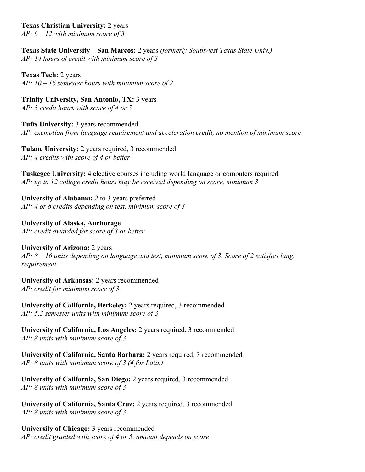#### **Texas Christian University:** 2 years

*AP: 6 – 12 with minimum score of 3*

**Texas State University – San Marcos:** 2 years *(formerly Southwest Texas State Univ.) AP: 14 hours of credit with minimum score of 3*

**Texas Tech:** 2 years *AP: 10 – 16 semester hours with minimum score of 2*

**Trinity University, San Antonio, TX:** 3 years *AP: 3 credit hours with score of 4 or 5*

**Tufts University:** 3 years recommended *AP: exemption from language requirement and acceleration credit, no mention of minimum score*

**Tulane University:** 2 years required, 3 recommended *AP: 4 credits with score of 4 or better*

**Tuskegee University:** 4 elective courses including world language or computers required *AP: up to 12 college credit hours may be received depending on score, minimum 3*

**University of Alabama:** 2 to 3 years preferred *AP: 4 or 8 credits depending on test, minimum score of 3*

**University of Alaska, Anchorage** *AP: credit awarded for score of 3 or better*

**University of Arizona:** 2 years *AP: 8 – 16 units depending on language and test, minimum score of 3. Score of 2 satisfies lang. requirement*

**University of Arkansas:** 2 years recommended *AP: credit for minimum score of 3*

**University of California, Berkeley:** 2 years required, 3 recommended *AP: 5.3 semester units with minimum score of 3*

**University of California, Los Angeles:** 2 years required, 3 recommended *AP: 8 units with minimum score of 3*

**University of California, Santa Barbara:** 2 years required, 3 recommended *AP: 8 units with minimum score of 3 (4 for Latin)*

**University of California, San Diego:** 2 years required, 3 recommended *AP: 8 units with minimum score of 3*

**University of California, Santa Cruz:** 2 years required, 3 recommended *AP: 8 units with minimum score of 3*

**University of Chicago:** 3 years recommended *AP: credit granted with score of 4 or 5, amount depends on score*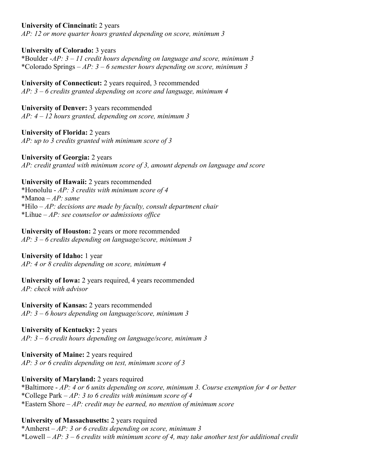**University of Cinncinati:** 2 years

*AP: 12 or more quarter hours granted depending on score, minimum 3*

**University of Colorado:** 3 years

\*Boulder -*AP: 3 – 11 credit hours depending on language and score, minimum 3* \*Colorado Springs – *AP: 3 – 6 semester hours depending on score, minimum 3*

**University of Connecticut:** 2 years required, 3 recommended *AP: 3 – 6 credits granted depending on score and language, minimum 4*

**University of Denver:** 3 years recommended *AP: 4 – 12 hours granted, depending on score, minimum 3*

**University of Florida:** 2 years *AP: up to 3 credits granted with minimum score of 3*

**University of Georgia:** 2 years *AP: credit granted with minimum score of 3, amount depends on language and score*

**University of Hawaii:** 2 years recommended

\*Honolulu - *AP: 3 credits with minimum score of 4* \*Manoa – *AP: same* \*Hilo – *AP: decisions are made by faculty, consult department chair* \*Lihue – *AP: see counselor or admissions office*

**University of Houston:** 2 years or more recommended *AP: 3 – 6 credits depending on language/score, minimum 3*

#### **University of Idaho:** 1 year

*AP: 4 or 8 credits depending on score, minimum 4*

**University of Iowa:** 2 years required, 4 years recommended *AP: check with advisor*

**University of Kansas:** 2 years recommended *AP: 3 – 6 hours depending on language/score, minimum 3*

#### **University of Kentucky:** 2 years

*AP: 3 – 6 credit hours depending on language/score, minimum 3*

**University of Maine:** 2 years required *AP: 3 or 6 credits depending on test, minimum score of 3*

# **University of Maryland:** 2 years required

\*Baltimore - *AP: 4 or 6 units depending on score, minimum 3. Course exemption for 4 or better* \*College Park – *AP: 3 to 6 credits with minimum score of 4* \*Eastern Shore – *AP: credit may be earned, no mention of minimum score*

# **University of Massachusetts:** 2 years required

\*Amherst – *AP: 3 or 6 credits depending on score, minimum 3* \*Lowell – *AP: 3 – 6 credits with minimum score of 4, may take another test for additional credit*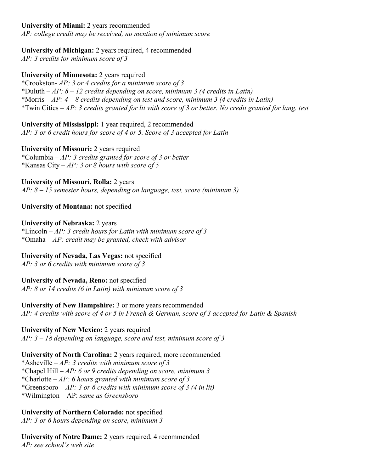## **University of Miami:** 2 years recommended

*AP: college credit may be received, no mention of minimum score*

# **University of Michigan:** 2 years required, 4 recommended

*AP: 3 credits for minimum score of 3*

**University of Minnesota:** 2 years required

\*Crookston- *AP: 3 or 4 credits for a minimum score of 3* \*Duluth – *AP: 8 – 12 credits depending on score, minimum 3 (4 credits in Latin)* \*Morris – *AP: 4 – 8 credits depending on test and score, minimum 3 (4 credits in Latin)* \*Twin Cities – *AP: 3 credits granted for lit with score of 3 or better. No credit granted for lang. test*

**University of Mississippi:** 1 year required, 2 recommended *AP: 3 or 6 credit hours for score of 4 or 5. Score of 3 accepted for Latin*

**University of Missouri:** 2 years required \*Columbia – *AP: 3 credits granted for score of 3 or better* \*Kansas City – *AP: 3 or 8 hours with score of 5*

**University of Missouri, Rolla:** 2 years *AP: 8 – 15 semester hours, depending on language, test, score (minimum 3)*

**University of Montana:** not specified

**University of Nebraska:** 2 years \*Lincoln – *AP: 3 credit hours for Latin with minimum score of 3* \*Omaha – *AP: credit may be granted, check with advisor*

**University of Nevada, Las Vegas:** not specified

*AP: 3 or 6 credits with minimum score of 3*

**University of Nevada, Reno:** not specified *AP: 8 or 14 credits (6 in Latin) with minimum score of 3*

**University of New Hampshire:** 3 or more years recommended *AP: 4 credits with score of 4 or 5 in French & German, score of 3 accepted for Latin & Spanish*

**University of New Mexico:** 2 years required *AP: 3 – 18 depending on language, score and test, minimum score of 3*

**University of North Carolina:** 2 years required, more recommended \*Asheville – *AP: 3 credits with minimum score of 3* \*Chapel Hill – *AP: 6 or 9 credits depending on score, minimum 3* \*Charlotte – *AP: 6 hours granted with minimum score of 3* \*Greensboro – *AP: 3 or 6 credits with minimum score of 3 (4 in lit)* \*Wilmington – AP: *same as Greensboro*

**University of Northern Colorado:** not specified *AP: 3 or 6 hours depending on score, minimum 3*

**University of Notre Dame:** 2 years required, 4 recommended *AP: see school's web site*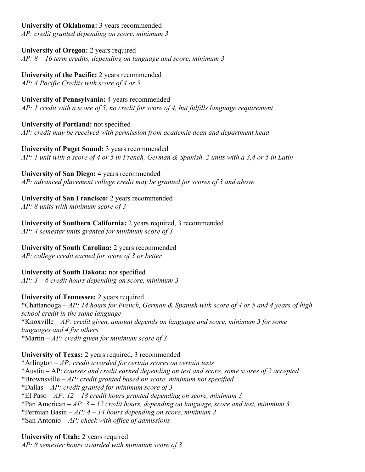# **University of Oklahoma:** 3 years recommended

*AP: credit granted depending on score, minimum 3*

**University of Oregon:** 2 years required *AP: 8 – 16 term credits, depending on language and score, minimum 3*

**University of the Pacific:** 2 years recommended *AP: 4 Pacific Credits with score of 4 or 5*

**University of Pennsylvania:** 4 years recommended *AP: 1 credit with a score of 5, no credit for score of 4, but fulfills language requirement*

**University of Portland:** not specified *AP: credit may be received with permission from academic dean and department head*

**University of Puget Sound:** 3 years recommended *AP: 1 unit with a score of 4 or 5 in French, German & Spanish. 2 units with a 3,4 or 5 in Latin*

**University of San Diego:** 4 years recommended *AP: advanced placement college credit may be granted for scores of 3 and above*

**University of San Francisco:** 2 years recommended *AP: 8 units with minimum score of 3*

**University of Southern California:** 2 years required, 3 recommended *AP: 4 semester units granted for minimum score of 3*

**University of South Carolina:** 2 years recommended

*AP: college credit earned for score of 3 or better*

**University of South Dakota:** not specified *AP: 3 – 6 credit hours depending on score, minimum 3*

# **University of Tennessee:** 2 years required

\*Chattanooga – *AP: 14 hours for French, German & Spanish with score of 4 or 5 and 4 years of high school credit in the same language* \*Knoxville – *AP: credit given, amount depends on language and score, minimum 3 for some languages and 4 for others* \*Martin – *AP: credit given for minimum score of 3*

**University of Texas:** 2 years required, 3 recommended

\*Arlington – *AP: credit awarded for certain scores on certain tests* \*Austin – AP: *courses and credit earned depending on test and score, some scores of 2 accepted* \*Brownsville – *AP: credit granted based on score, minimum not specified* \*Dallas – *AP: credit granted for minimum score of 3* \*El Paso – *AP: 12 – 18 credit hours granted depending on score, minimum 3* \*Pan American – *AP: 3 – 12 credit hours, depending on language, score and test, minimum 3* \*Permian Basin – *AP: 4 – 14 hours depending on score, minimum 2* \*San Antonio – *AP: check with office of admissions*

**University of Utah:** 2 years required *AP: 8 semester hours awarded with minimum score of 3*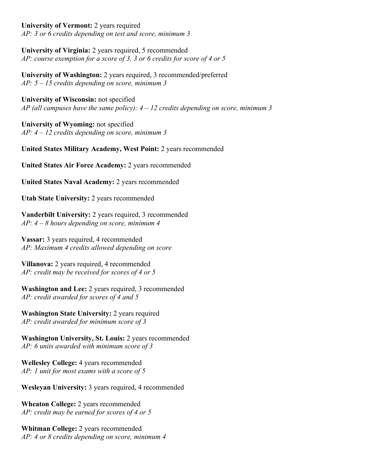#### **University of Vermont:** 2 years required

*AP: 3 or 6 credits depending on test and score, minimum 3*

**University of Virginia:** 2 years required, 5 recommended *AP: course exemption for a score of 3, 3 or 6 credits for score of 4 or 5*

**University of Washington:** 2 years required, 3 recommended/preferred *AP: 5 – 15 credits depending on score, minimum 3*

**University of Wisconsin:** not specified *AP (all campuses have the same policy): 4 – 12 credits depending on score, minimum 3*

**University of Wyoming:** not specified *AP: 4 – 12 credits depending on score, minimum 3*

**United States Military Academy, West Point:** 2 years recommended

**United States Air Force Academy:** 2 years recommended

**United States Naval Academy:** 2 years recommended

**Utah State University:** 2 years recommended

**Vanderbilt University:** 2 years required, 3 recommended *AP: 4 – 8 hours depending on score, minimum 4*

**Vassar:** 3 years required, 4 recommended *AP: Maximum 4 credits allowed depending on score*

**Villanova:** 2 years required, 4 recommended *AP: credit may be received for scores of 4 or 5*

**Washington and Lee:** 2 years required, 3 recommended *AP: credit awarded for scores of 4 and 5*

**Washington State University:** 2 years required *AP: credit awarded for minimum score of 3*

**Washington University, St. Louis:** 2 years recommended *AP: 6 units awarded with minimum score of 3*

**Wellesley College:** 4 years recommended *AP: 1 unit for most exams with a score of 5*

**Wesleyan University:** 3 years required, 4 recommended

**Wheaton College:** 2 years recommended *AP: credit may be earned for scores of 4 or 5*

**Whitman College:** 2 years recommended *AP: 4 or 8 credits depending on score, minimum 4*